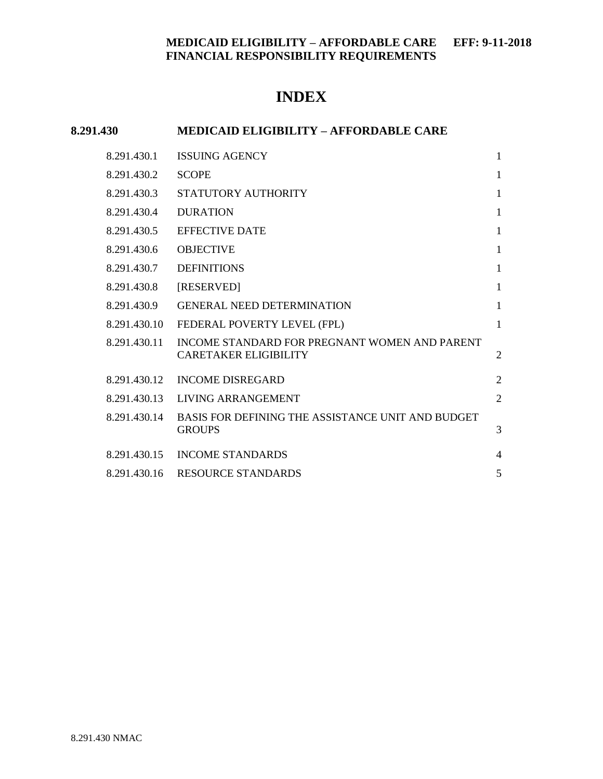## **INDEX**

# **8.291.430 MEDICAID ELIGIBILITY – AFFORDABLE CARE** 8.291.430.1 [ISSUING AGENCY](#page-1-0) 1 [8.291.430.2](#page-1-1) SCOPE 1 8.291.430.3 [STATUTORY AUTHORITY](#page-1-2) 1 8.291.430.4 [DURATION](#page-1-3) 1 8.291.430.5 [EFFECTIVE DATE](#page-1-4) 1 8.291.430.6 [OBJECTIVE](#page-1-5) 1 8.291.430.7 [DEFINITIONS](#page-1-6) 1 8.291.430.8 [\[RESERVED\]](#page-1-7) 1 8.291.430.9 [GENERAL NEED DETERMINATION](#page-1-8) 1 8.291.430.10 [FEDERAL POVERTY LEVEL \(FPL\)](#page-1-9) 1 8.291.430.11 [INCOME STANDARD FOR PREGNANT WOMEN AND PARENT](#page-2-0)  [CARETAKER ELIGIBILITY](#page-2-0) 2 8.291.430.12 [INCOME DISREGARD](#page-2-1) 2 8.291.430.13 [LIVING ARRANGEMENT](#page-2-2) 2 8.291.430.14 [BASIS FOR DEFINING THE ASSISTANCE UNIT AND BUDGET](#page-3-0)  [GROUPS](#page-3-0) 3 8.291.430.15 [INCOME STANDARDS](#page-4-0) 4 8.291.430.16 [RESOURCE STANDARDS](#page-5-0) 5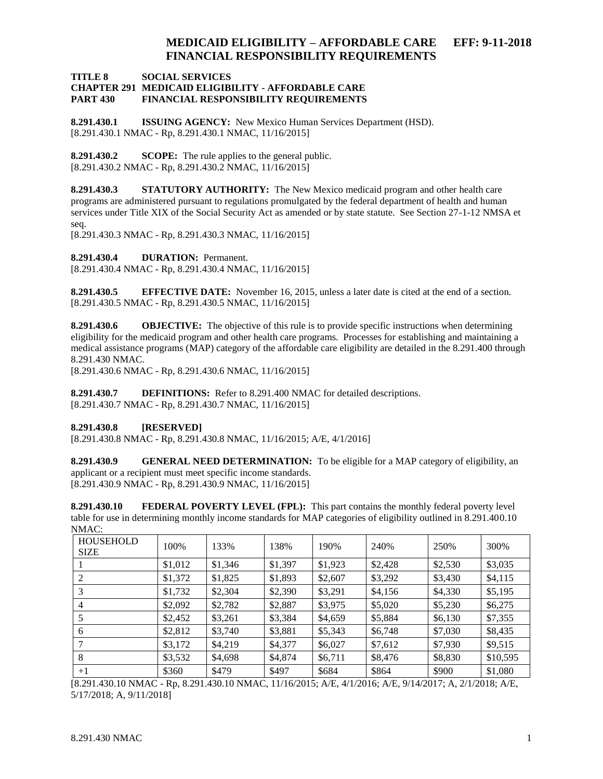#### **TITLE 8 SOCIAL SERVICES CHAPTER 291 MEDICAID ELIGIBILITY - AFFORDABLE CARE PART 430 FINANCIAL RESPONSIBILITY REQUIREMENTS**

<span id="page-1-0"></span>**8.291.430.1 ISSUING AGENCY:** New Mexico Human Services Department (HSD). [8.291.430.1 NMAC - Rp, 8.291.430.1 NMAC, 11/16/2015]

<span id="page-1-1"></span>**8.291.430.2 SCOPE:** The rule applies to the general public. [8.291.430.2 NMAC - Rp, 8.291.430.2 NMAC, 11/16/2015]

<span id="page-1-2"></span>**8.291.430.3 STATUTORY AUTHORITY:** The New Mexico medicaid program and other health care programs are administered pursuant to regulations promulgated by the federal department of health and human services under Title XIX of the Social Security Act as amended or by state statute. See Section 27-1-12 NMSA et seq.

[8.291.430.3 NMAC - Rp, 8.291.430.3 NMAC, 11/16/2015]

<span id="page-1-3"></span>**8.291.430.4 DURATION:** Permanent.

[8.291.430.4 NMAC - Rp, 8.291.430.4 NMAC, 11/16/2015]

<span id="page-1-4"></span>**8.291.430.5 EFFECTIVE DATE:** November 16, 2015, unless a later date is cited at the end of a section. [8.291.430.5 NMAC - Rp, 8.291.430.5 NMAC, 11/16/2015]

<span id="page-1-5"></span>**8.291.430.6 OBJECTIVE:** The objective of this rule is to provide specific instructions when determining eligibility for the medicaid program and other health care programs. Processes for establishing and maintaining a medical assistance programs (MAP) category of the affordable care eligibility are detailed in the 8.291.400 through 8.291.430 NMAC.

[8.291.430.6 NMAC - Rp, 8.291.430.6 NMAC, 11/16/2015]

<span id="page-1-6"></span>**8.291.430.7 DEFINITIONS:** Refer to 8.291.400 NMAC for detailed descriptions. [8.291.430.7 NMAC - Rp, 8.291.430.7 NMAC, 11/16/2015]

#### <span id="page-1-7"></span>**8.291.430.8 [RESERVED]**

[8.291.430.8 NMAC - Rp, 8.291.430.8 NMAC, 11/16/2015; A/E, 4/1/2016]

<span id="page-1-8"></span>**8.291.430.9 GENERAL NEED DETERMINATION:** To be eligible for a MAP category of eligibility, an applicant or a recipient must meet specific income standards. [8.291.430.9 NMAC - Rp, 8.291.430.9 NMAC, 11/16/2015]

<span id="page-1-9"></span>**8.291.430.10 FEDERAL POVERTY LEVEL (FPL):** This part contains the monthly federal poverty level table for use in determining monthly income standards for MAP categories of eligibility outlined in 8.291.400.10  $NMAC$ 

| <b>HOUSEHOLD</b><br><b>SIZE</b> | 100%    | 133%    | 138%    | 190%    | 240%    | 250%    | 300%     |
|---------------------------------|---------|---------|---------|---------|---------|---------|----------|
|                                 | \$1,012 | \$1,346 | \$1,397 | \$1,923 | \$2,428 | \$2,530 | \$3,035  |
|                                 | \$1,372 | \$1,825 | \$1,893 | \$2,607 | \$3,292 | \$3,430 | \$4,115  |
| 3                               | \$1,732 | \$2,304 | \$2,390 | \$3,291 | \$4,156 | \$4,330 | \$5,195  |
| 4                               | \$2,092 | \$2,782 | \$2,887 | \$3,975 | \$5,020 | \$5,230 | \$6,275  |
|                                 | \$2,452 | \$3,261 | \$3,384 | \$4,659 | \$5,884 | \$6,130 | \$7,355  |
| 6                               | \$2,812 | \$3,740 | \$3,881 | \$5,343 | \$6,748 | \$7,030 | \$8,435  |
|                                 | \$3,172 | \$4,219 | \$4,377 | \$6,027 | \$7,612 | \$7,930 | \$9,515  |
| 8                               | \$3,532 | \$4,698 | \$4,874 | \$6,711 | \$8,476 | \$8,830 | \$10,595 |
| $+1$                            | \$360   | \$479   | \$497   | \$684   | \$864   | \$900   | \$1,080  |

[8.291.430.10 NMAC - Rp, 8.291.430.10 NMAC, 11/16/2015; A/E, 4/1/2016; A/E, 9/14/2017; A, 2/1/2018; A/E, 5/17/2018; A, 9/11/2018]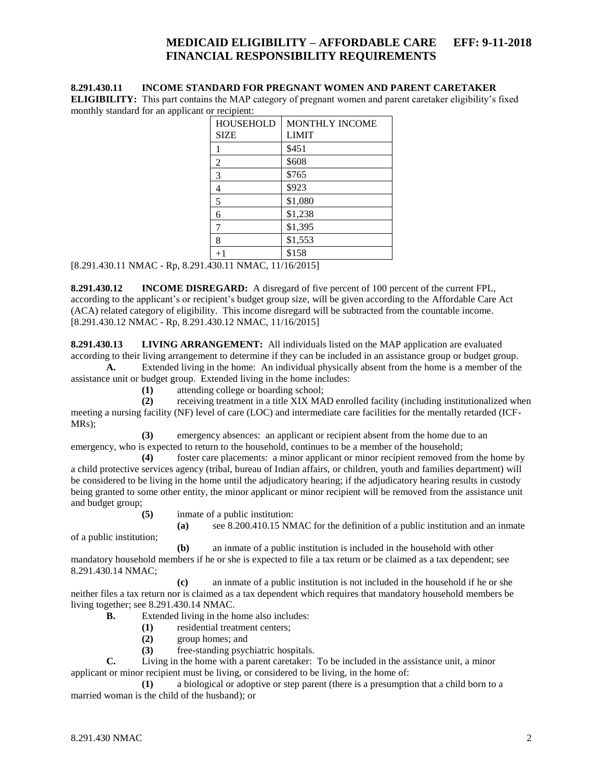#### <span id="page-2-0"></span>**8.291.430.11 INCOME STANDARD FOR PREGNANT WOMEN AND PARENT CARETAKER**

**ELIGIBILITY:** This part contains the MAP category of pregnant women and parent caretaker eligibility's fixed monthly standard for an applicant or recipient:

| <b>HOUSEHOLD</b> | <b>MONTHLY INCOME</b> |
|------------------|-----------------------|
| <b>SIZE</b>      | <b>LIMIT</b>          |
|                  | \$451                 |
| 2                | \$608                 |
| 3                | \$765                 |
| 4                | \$923                 |
| 5                | \$1,080               |
| 6                | \$1,238               |
| 7                | \$1,395               |
| 8                | \$1,553               |
| $+1$             | \$158                 |

[8.291.430.11 NMAC - Rp, 8.291.430.11 NMAC, 11/16/2015]

<span id="page-2-1"></span>**8.291.430.12 INCOME DISREGARD:** A disregard of five percent of 100 percent of the current FPL, according to the applicant's or recipient's budget group size, will be given according to the Affordable Care Act (ACA) related category of eligibility. This income disregard will be subtracted from the countable income. [8.291.430.12 NMAC - Rp, 8.291.430.12 NMAC, 11/16/2015]

<span id="page-2-2"></span>**8.291.430.13 LIVING ARRANGEMENT:** All individuals listed on the MAP application are evaluated according to their living arrangement to determine if they can be included in an assistance group or budget group.

**A.** Extended living in the home: An individual physically absent from the home is a member of the assistance unit or budget group. Extended living in the home includes:

**(1)** attending college or boarding school;

**(2)** receiving treatment in a title XIX MAD enrolled facility (including institutionalized when meeting a nursing facility (NF) level of care (LOC) and intermediate care facilities for the mentally retarded (ICF-MRs);

**(3)** emergency absences: an applicant or recipient absent from the home due to an emergency, who is expected to return to the household, continues to be a member of the household;

**(4)** foster care placements: a minor applicant or minor recipient removed from the home by a child protective services agency (tribal, bureau of Indian affairs, or children, youth and families department) will be considered to be living in the home until the adjudicatory hearing; if the adjudicatory hearing results in custody being granted to some other entity, the minor applicant or minor recipient will be removed from the assistance unit and budget group;

**(5)** inmate of a public institution:

**(a)** see 8.200.410.15 NMAC for the definition of a public institution and an inmate

of a public institution;

**(b)** an inmate of a public institution is included in the household with other mandatory household members if he or she is expected to file a tax return or be claimed as a tax dependent; see 8.291.430.14 NMAC;

**(c)** an inmate of a public institution is not included in the household if he or she neither files a tax return nor is claimed as a tax dependent which requires that mandatory household members be living together; see 8.291.430.14 NMAC.

**B.** Extended living in the home also includes:

- **(1)** residential treatment centers;
- **(2)** group homes; and
- **(3)** free-standing psychiatric hospitals.

**C.** Living in the home with a parent caretaker: To be included in the assistance unit, a minor applicant or minor recipient must be living, or considered to be living, in the home of:

**(1)** a biological or adoptive or step parent (there is a presumption that a child born to a married woman is the child of the husband); or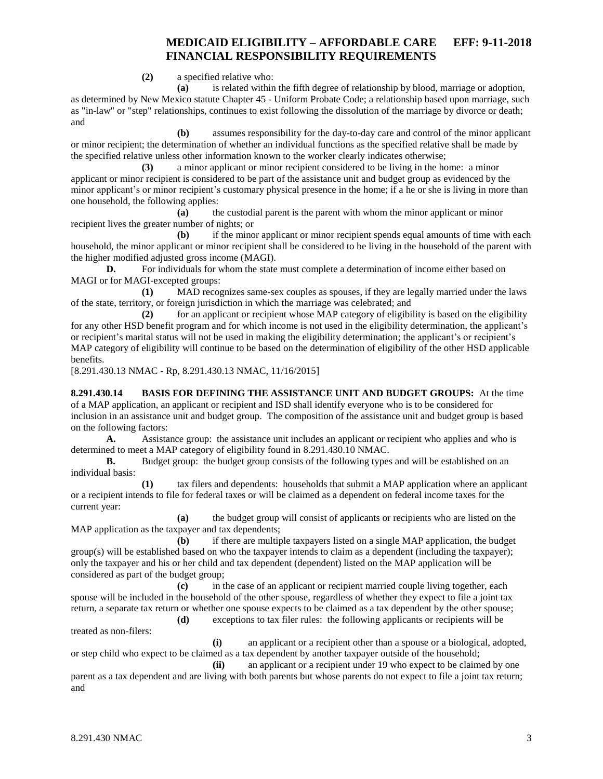**(2)** a specified relative who:

**(a)** is related within the fifth degree of relationship by blood, marriage or adoption, as determined by New Mexico statute Chapter 45 - Uniform Probate Code; a relationship based upon marriage, such as "in-law" or "step" relationships, continues to exist following the dissolution of the marriage by divorce or death; and

**(b)** assumes responsibility for the day-to-day care and control of the minor applicant or minor recipient; the determination of whether an individual functions as the specified relative shall be made by the specified relative unless other information known to the worker clearly indicates otherwise;

**(3)** a minor applicant or minor recipient considered to be living in the home: a minor applicant or minor recipient is considered to be part of the assistance unit and budget group as evidenced by the minor applicant's or minor recipient's customary physical presence in the home; if a he or she is living in more than one household, the following applies:

**(a)** the custodial parent is the parent with whom the minor applicant or minor recipient lives the greater number of nights; or

**(b)** if the minor applicant or minor recipient spends equal amounts of time with each household, the minor applicant or minor recipient shall be considered to be living in the household of the parent with the higher modified adjusted gross income (MAGI).

**D.** For individuals for whom the state must complete a determination of income either based on MAGI or for MAGI-excepted groups:

**(1)** MAD recognizes same-sex couples as spouses, if they are legally married under the laws of the state, territory, or foreign jurisdiction in which the marriage was celebrated; and

**(2)** for an applicant or recipient whose MAP category of eligibility is based on the eligibility for any other HSD benefit program and for which income is not used in the eligibility determination, the applicant's or recipient's marital status will not be used in making the eligibility determination; the applicant's or recipient's MAP category of eligibility will continue to be based on the determination of eligibility of the other HSD applicable benefits.

[8.291.430.13 NMAC - Rp, 8.291.430.13 NMAC, 11/16/2015]

<span id="page-3-0"></span>**8.291.430.14 BASIS FOR DEFINING THE ASSISTANCE UNIT AND BUDGET GROUPS:** At the time of a MAP application, an applicant or recipient and ISD shall identify everyone who is to be considered for inclusion in an assistance unit and budget group. The composition of the assistance unit and budget group is based on the following factors:

**A.** Assistance group: the assistance unit includes an applicant or recipient who applies and who is determined to meet a MAP category of eligibility found in 8.291.430.10 NMAC.

**B.** Budget group: the budget group consists of the following types and will be established on an individual basis:

**(1)** tax filers and dependents: households that submit a MAP application where an applicant or a recipient intends to file for federal taxes or will be claimed as a dependent on federal income taxes for the current year:

**(a)** the budget group will consist of applicants or recipients who are listed on the MAP application as the taxpayer and tax dependents;

**(b)** if there are multiple taxpayers listed on a single MAP application, the budget group(s) will be established based on who the taxpayer intends to claim as a dependent (including the taxpayer); only the taxpayer and his or her child and tax dependent (dependent) listed on the MAP application will be considered as part of the budget group;

**(c)** in the case of an applicant or recipient married couple living together, each spouse will be included in the household of the other spouse, regardless of whether they expect to file a joint tax return, a separate tax return or whether one spouse expects to be claimed as a tax dependent by the other spouse;

**(d)** exceptions to tax filer rules: the following applicants or recipients will be

treated as non-filers:

**(i)** an applicant or a recipient other than a spouse or a biological, adopted, or step child who expect to be claimed as a tax dependent by another taxpayer outside of the household;

**(ii)** an applicant or a recipient under 19 who expect to be claimed by one parent as a tax dependent and are living with both parents but whose parents do not expect to file a joint tax return; and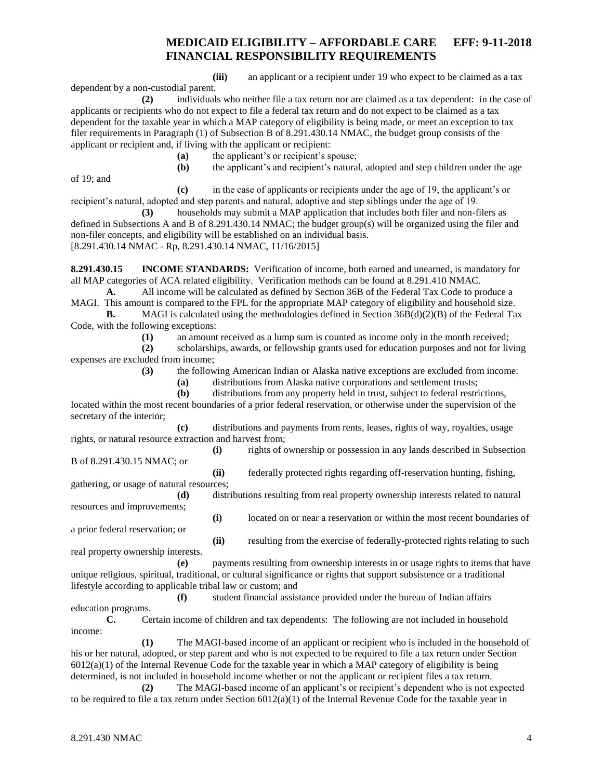**(iii)** an applicant or a recipient under 19 who expect to be claimed as a tax

**(2)** individuals who neither file a tax return nor are claimed as a tax dependent: in the case of applicants or recipients who do not expect to file a federal tax return and do not expect to be claimed as a tax dependent for the taxable year in which a MAP category of eligibility is being made, or meet an exception to tax filer requirements in Paragraph (1) of Subsection B of 8.291.430.14 NMAC, the budget group consists of the applicant or recipient and, if living with the applicant or recipient:

**(a)** the applicant's or recipient's spouse;

**(b)** the applicant's and recipient's natural, adopted and step children under the age

of 19; and

dependent by a non-custodial parent.

**(c)** in the case of applicants or recipients under the age of 19, the applicant's or

recipient's natural, adopted and step parents and natural, adoptive and step siblings under the age of 19. **(3)** households may submit a MAP application that includes both filer and non-filers as defined in Subsections A and B of 8.291.430.14 NMAC; the budget group(s) will be organized using the filer and

non-filer concepts, and eligibility will be established on an individual basis. [8.291.430.14 NMAC - Rp, 8.291.430.14 NMAC, 11/16/2015]

<span id="page-4-0"></span>**8.291.430.15 INCOME STANDARDS:** Verification of income, both earned and unearned, is mandatory for all MAP categories of ACA related eligibility. Verification methods can be found at 8.291.410 NMAC.

**A.** All income will be calculated as defined by Section 36B of the Federal Tax Code to produce a MAGI. This amount is compared to the FPL for the appropriate MAP category of eligibility and household size.

**B.** MAGI is calculated using the methodologies defined in Section 36B(d)(2)(B) of the Federal Tax Code, with the following exceptions:

**(1)** an amount received as a lump sum is counted as income only in the month received;

**(2)** scholarships, awards, or fellowship grants used for education purposes and not for living expenses are excluded from income;

**(3)** the following American Indian or Alaska native exceptions are excluded from income:

**(a)** distributions from Alaska native corporations and settlement trusts;

**(b)** distributions from any property held in trust, subject to federal restrictions, located within the most recent boundaries of a prior federal reservation, or otherwise under the supervision of the secretary of the interior;

**(c)** distributions and payments from rents, leases, rights of way, royalties, usage rights, or natural resource extraction and harvest from;

**(i)** rights of ownership or possession in any lands described in Subsection B of 8.291.430.15 NMAC; or

**(ii)** federally protected rights regarding off-reservation hunting, fishing, gathering, or usage of natural resources;

**(d)** distributions resulting from real property ownership interests related to natural resources and improvements;

**(i)** located on or near a reservation or within the most recent boundaries of a prior federal reservation; or

real property ownership interests.

**(ii)** resulting from the exercise of federally-protected rights relating to such

payments resulting from ownership interests in or usage rights to items that have unique religious, spiritual, traditional, or cultural significance or rights that support subsistence or a traditional lifestyle according to applicable tribal law or custom; and

**(f)** student financial assistance provided under the bureau of Indian affairs education programs.

**C.** Certain income of children and tax dependents: The following are not included in household income:

**(1)** The MAGI-based income of an applicant or recipient who is included in the household of his or her natural, adopted, or step parent and who is not expected to be required to file a tax return under Section  $6012(a)(1)$  of the Internal Revenue Code for the taxable year in which a MAP category of eligibility is being determined, is not included in household income whether or not the applicant or recipient files a tax return.

**(2)** The MAGI-based income of an applicant's or recipient's dependent who is not expected to be required to file a tax return under Section  $6012(a)(1)$  of the Internal Revenue Code for the taxable year in